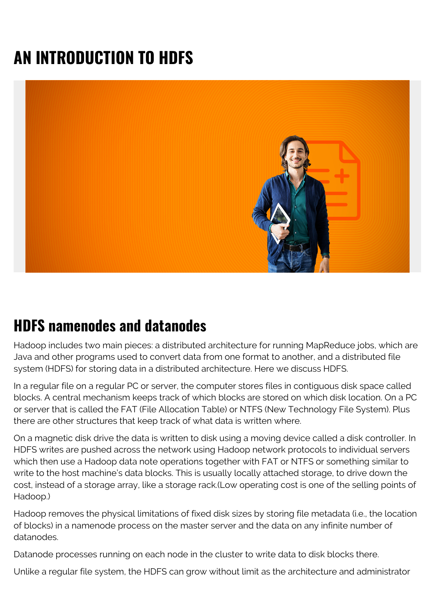# **AN INTRODUCTION TO HDFS**



#### **HDFS namenodes and datanodes**

Hadoop includes two main pieces: a distributed architecture for running MapReduce jobs, which are Java and other programs used to convert data from one format to another, and a distributed file system (HDFS) for storing data in a distributed architecture. Here we discuss HDFS.

In a regular file on a regular PC or server, the computer stores files in contiguous disk space called blocks. A central mechanism keeps track of which blocks are stored on which disk location. On a PC or server that is called the FAT (File Allocation Table) or NTFS (New Technology File System). Plus there are other structures that keep track of what data is written where.

On a magnetic disk drive the data is written to disk using a moving device called a disk controller. In HDFS writes are pushed across the network using Hadoop network protocols to individual servers which then use a Hadoop data note operations together with FAT or NTFS or something similar to write to the host machine's data blocks. This is usually locally attached storage, to drive down the cost, instead of a storage array, like a storage rack.(Low operating cost is one of the selling points of Hadoop.)

Hadoop removes the physical limitations of fixed disk sizes by storing file metadata (i.e., the location of blocks) in a namenode process on the master server and the data on any infinite number of datanodes.

Datanode processes running on each node in the cluster to write data to disk blocks there.

Unlike a regular file system, the HDFS can grow without limit as the architecture and administrator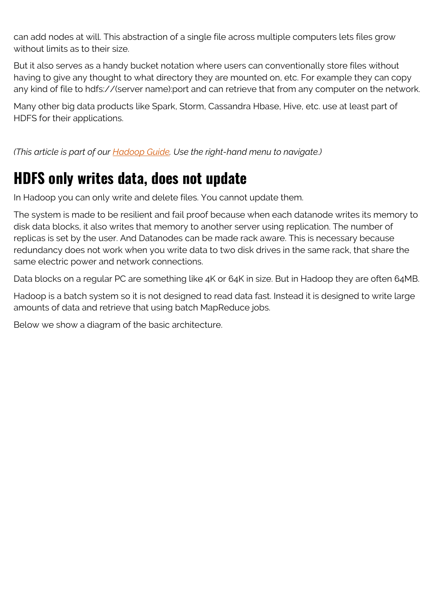can add nodes at will. This abstraction of a single file across multiple computers lets files grow without limits as to their size.

But it also serves as a handy bucket notation where users can conventionally store files without having to give any thought to what directory they are mounted on, etc. For example they can copy any kind of file to hdfs://(server name):port and can retrieve that from any computer on the network.

Many other big data products like Spark, Storm, Cassandra Hbase, Hive, etc. use at least part of HDFS for their applications.

*(This article is part of our [Hadoop Guide](https://blogs.bmc.com/blogs/hadoop-introduction/). Use the right-hand menu to navigate.)*

#### **HDFS only writes data, does not update**

In Hadoop you can only write and delete files. You cannot update them.

The system is made to be resilient and fail proof because when each datanode writes its memory to disk data blocks, it also writes that memory to another server using replication. The number of replicas is set by the user. And Datanodes can be made rack aware. This is necessary because redundancy does not work when you write data to two disk drives in the same rack, that share the same electric power and network connections.

Data blocks on a regular PC are something like 4K or 64K in size. But in Hadoop they are often 64MB.

Hadoop is a batch system so it is not designed to read data fast. Instead it is designed to write large amounts of data and retrieve that using batch MapReduce jobs.

Below we show a diagram of the basic architecture.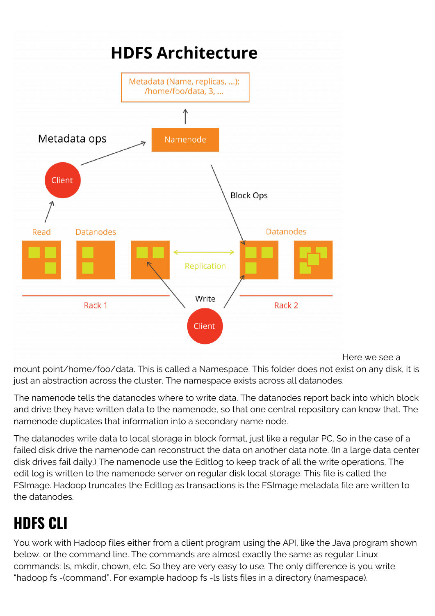

Here we see a

mount point/home/foo/data. This is called a Namespace. This folder does not exist on any disk, it is just an abstraction across the cluster. The namespace exists across all datanodes.

The namenode tells the datanodes where to write data. The datanodes report back into which block and drive they have written data to the namenode, so that one central repository can know that. The namenode duplicates that information into a secondary name node.

The datanodes write data to local storage in block format, just like a regular PC. So in the case of a failed disk drive the namenode can reconstruct the data on another data note. (In a large data center disk drives fail daily.) The namenode use the Editlog to keep track of all the write operations. The edit log is written to the namenode server on regular disk local storage. This file is called the FSImage. Hadoop truncates the Editlog as transactions is the FSImage metadata file are written to the datanodes.

# **HDFS CLI**

You work with Hadoop files either from a client program using the API, like the Java program shown below, or the command line. The commands are almost exactly the same as regular Linux commands: ls, mkdir, chown, etc. So they are very easy to use. The only difference is you write "hadoop fs -(command". For example hadoop fs -ls lists files in a directory (namespace).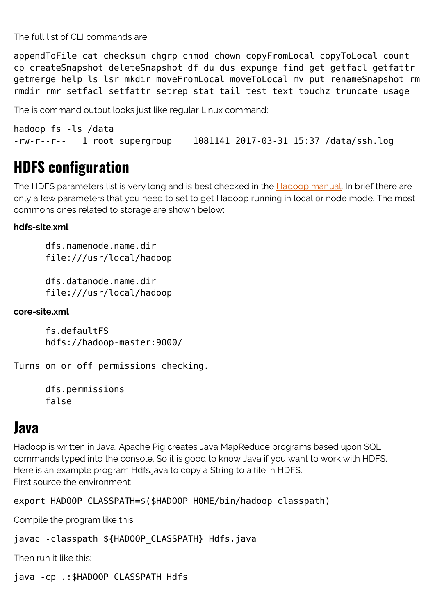The full list of CLI commands are:

appendToFile cat checksum chgrp chmod chown copyFromLocal copyToLocal count cp createSnapshot deleteSnapshot df du dus expunge find get getfacl getfattr getmerge help ls lsr mkdir moveFromLocal moveToLocal mv put renameSnapshot rm rmdir rmr setfacl setfattr setrep stat tail test text touchz truncate usage

The is command output looks just like regular Linux command:

hadoop fs -ls /data -rw-r--r-- 1 root supergroup 1081141 2017-03-31 15:37 /data/ssh.log

#### **HDFS configuration**

The HDFS parameters list is very long and is best checked in the **Hadoop manual**. In brief there are only a few parameters that you need to set to get Hadoop running in local or node mode. The most commons ones related to storage are shown below:

#### **hdfs-site.xml**

 dfs.namenode.name.dir file:///usr/local/hadoop

 dfs.datanode.name.dir file:///usr/local/hadoop

**core-site.xml**

 fs.defaultFS hdfs://hadoop-master:9000/

Turns on or off permissions checking.

 dfs.permissions false

#### **Java**

Hadoop is written in Java. Apache Pig creates Java MapReduce programs based upon SQL commands typed into the console. So it is good to know Java if you want to work with HDFS. Here is an example program Hdfs.java to copy a String to a file in HDFS. First source the environment:

export HADOOP CLASSPATH=\$(\$HADOOP HOME/bin/hadoop classpath)

Compile the program like this:

```
javac -classpath ${HADOOP CLASSPATH} Hdfs.java
```
Then run it like this:

java -cp .:\$HADOOP\_CLASSPATH Hdfs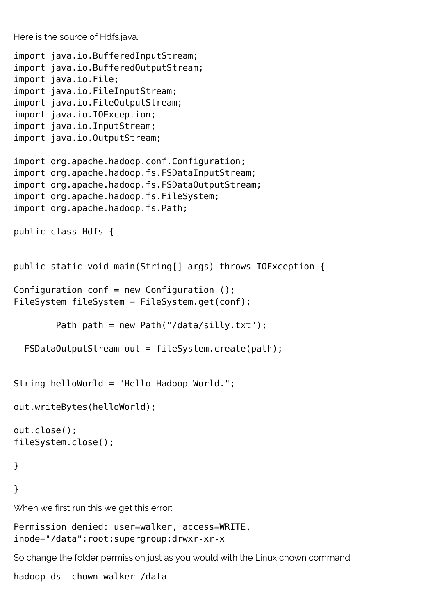Here is the source of Hdfs.java.

```
import java.io.BufferedInputStream;
import java.io.BufferedOutputStream;
import java.io.File;
import java.io.FileInputStream;
import java.io.FileOutputStream;
import java.io.IOException;
import java.io.InputStream;
import java.io.OutputStream;
import org.apache.hadoop.conf.Configuration;
import org.apache.hadoop.fs.FSDataInputStream;
import org.apache.hadoop.fs.FSDataOutputStream;
import org.apache.hadoop.fs.FileSystem;
import org.apache.hadoop.fs.Path;
public class Hdfs {
public static void main(String[] args) throws IOException {
Configuration conf = new Configuration ();
FileSystem fileSystem = FileSystem.get(conf);
        Path path = new Path("/data/silly.txt");
  FSDataOutputStream out = fileSystem.create(path);
String helloWorld = "Hello Hadoop World.";
out.writeBytes(helloWorld);
out.close();
fileSystem.close();
}
}
When we first run this we get this error:
Permission denied: user=walker, access=WRITE,
inode="/data":root:supergroup:drwxr-xr-x
So change the folder permission just as you would with the Linux chown command:
```
hadoop ds -chown walker /data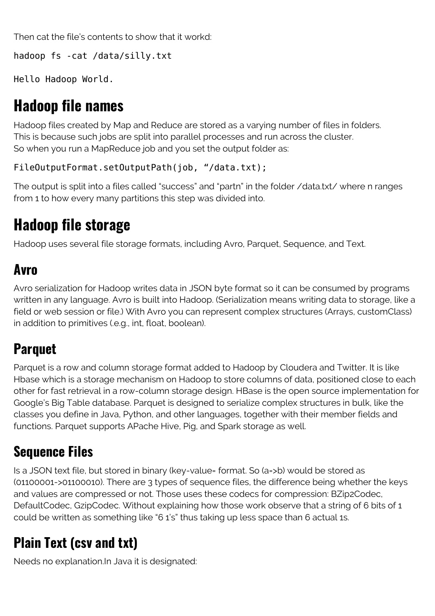Then cat the file's contents to show that it workd:

hadoop fs -cat /data/silly.txt

Hello Hadoop World.

### **Hadoop file names**

Hadoop files created by Map and Reduce are stored as a varying number of files in folders. This is because such jobs are split into parallel processes and run across the cluster. So when you run a MapReduce job and you set the output folder as:

```
FileOutputFormat.setOutputPath(job, "/data.txt);
```
The output is split into a files called "success" and "partn" in the folder /data.txt/ where n ranges from 1 to how every many partitions this step was divided into.

# **Hadoop file storage**

Hadoop uses several file storage formats, including Avro, Parquet, Sequence, and Text.

#### **Avro**

Avro serialization for Hadoop writes data in JSON byte format so it can be consumed by programs written in any language. Avro is built into Hadoop. (Serialization means writing data to storage, like a field or web session or file.) With Avro you can represent complex structures (Arrays, customClass) in addition to primitives (.e.g., int, float, boolean).

# **Parquet**

Parquet is a row and column storage format added to Hadoop by Cloudera and Twitter. It is like Hbase which is a storage mechanism on Hadoop to store columns of data, positioned close to each other for fast retrieval in a row-column storage design. HBase is the open source implementation for Google's Big Table database. Parquet is designed to serialize complex structures in bulk, like the classes you define in Java, Python, and other languages, together with their member fields and functions. Parquet supports APache Hive, Pig, and Spark storage as well.

### **Sequence Files**

Is a JSON text file, but stored in binary (key-value= format. So (a=>b) would be stored as (01100001->01100010). There are 3 types of sequence files, the difference being whether the keys and values are compressed or not. Those uses these codecs for compression: BZip2Codec, DefaultCodec, GzipCodec. Without explaining how those work observe that a string of 6 bits of 1 could be written as something like "6 1's" thus taking up less space than 6 actual 1s.

## **Plain Text (csv and txt)**

Needs no explanation.In Java it is designated: